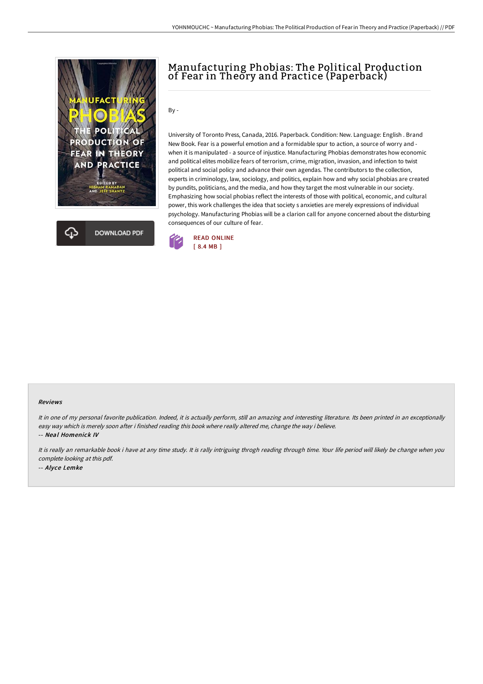



## Manufacturing Phobias: The Political Production of Fear in Theory and Practice (Paperback)

By -

University of Toronto Press, Canada, 2016. Paperback. Condition: New. Language: English . Brand New Book. Fear is a powerful emotion and a formidable spur to action, a source of worry and when it is manipulated - a source of injustice. Manufacturing Phobias demonstrates how economic and political elites mobilize fears of terrorism, crime, migration, invasion, and infection to twist political and social policy and advance their own agendas. The contributors to the collection, experts in criminology, law, sociology, and politics, explain how and why social phobias are created by pundits, politicians, and the media, and how they target the most vulnerable in our society. Emphasizing how social phobias reflect the interests of those with political, economic, and cultural power, this work challenges the idea that society s anxieties are merely expressions of individual psychology. Manufacturing Phobias will be a clarion call for anyone concerned about the disturbing consequences of our culture of fear.



## Reviews

It in one of my personal favorite publication. Indeed, it is actually perform, still an amazing and interesting literature. Its been printed in an exceptionally easy way which is merely soon after i finished reading this book where really altered me, change the way i believe. -- Neal Homenick IV

It is really an remarkable book i have at any time study. It is rally intriguing throgh reading through time. Your life period will likely be change when you complete looking at this pdf. -- Alyce Lemke